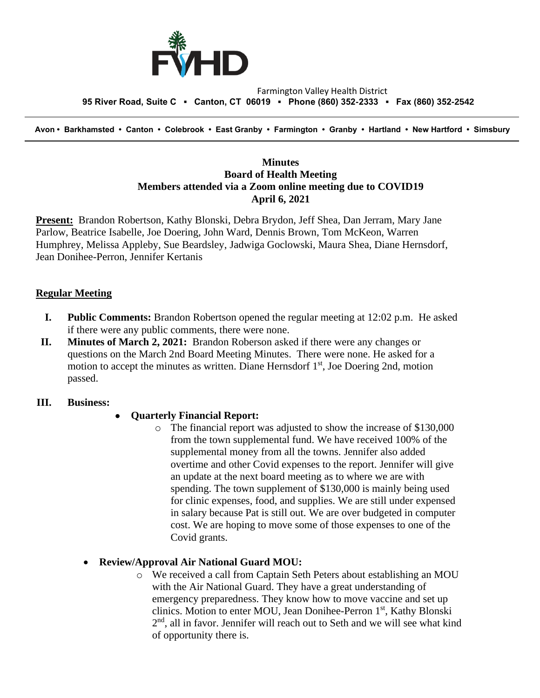

#### Farmington Valley Health District  **95 River Road, Suite C ▪ Canton, CT 06019 ▪ Phone (860) 352-2333 ▪ Fax (860) 352-2542**

 **Avon • Barkhamsted • Canton • Colebrook • East Granby • Farmington • Granby • Hartland • New Hartford • Simsbury**

### **Minutes Board of Health Meeting Members attended via a Zoom online meeting due to COVID19 April 6, 2021**

**Present:** Brandon Robertson, Kathy Blonski, Debra Brydon, Jeff Shea, Dan Jerram, Mary Jane Parlow, Beatrice Isabelle, Joe Doering, John Ward, Dennis Brown, Tom McKeon, Warren Humphrey, Melissa Appleby, Sue Beardsley, Jadwiga Goclowski, Maura Shea, Diane Hernsdorf, Jean Donihee-Perron, Jennifer Kertanis

### **Regular Meeting**

- **I. Public Comments:** Brandon Robertson opened the regular meeting at 12:02 p.m. He asked if there were any public comments, there were none.
- **II. Minutes of March 2, 2021:** Brandon Roberson asked if there were any changes or questions on the March 2nd Board Meeting Minutes. There were none. He asked for a motion to accept the minutes as written. Diane Hernsdorf  $1<sup>st</sup>$ , Joe Doering 2nd, motion passed.

### **III. Business:**

## • **Quarterly Financial Report:**

o The financial report was adjusted to show the increase of \$130,000 from the town supplemental fund. We have received 100% of the supplemental money from all the towns. Jennifer also added overtime and other Covid expenses to the report. Jennifer will give an update at the next board meeting as to where we are with spending. The town supplement of \$130,000 is mainly being used for clinic expenses, food, and supplies. We are still under expensed in salary because Pat is still out. We are over budgeted in computer cost. We are hoping to move some of those expenses to one of the Covid grants.

#### • **Review/Approval Air National Guard MOU:**

o We received a call from Captain Seth Peters about establishing an MOU with the Air National Guard. They have a great understanding of emergency preparedness. They know how to move vaccine and set up clinics. Motion to enter MOU, Jean Donihee-Perron 1st, Kathy Blonski 2<sup>nd</sup>, all in favor. Jennifer will reach out to Seth and we will see what kind of opportunity there is.